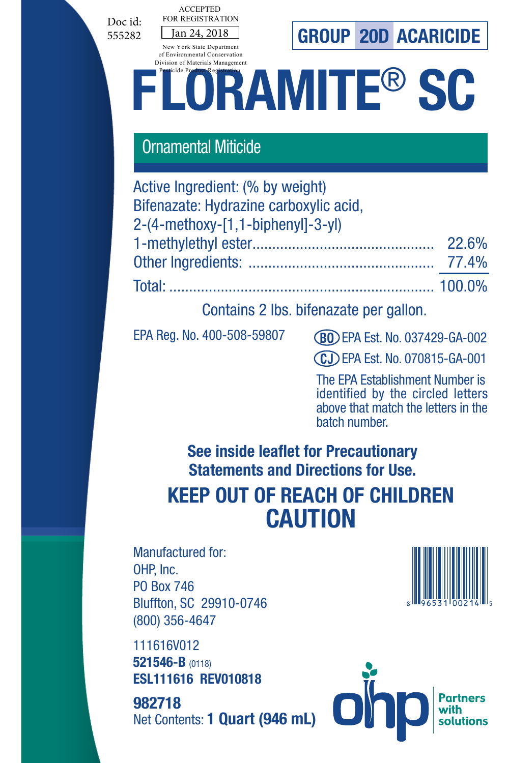Doc id: 555282



# **FLORAMITE®** SC

### Ornamental Miticide

Jan 24, 2018

ACCEPTED FOR REGISTRATION New York State Department of Environmental Conservation

| Active Ingredient: (% by weight)       |  |
|----------------------------------------|--|
| Bifenazate: Hydrazine carboxylic acid. |  |
| 2-(4-methoxy-[1,1-biphenyl]-3-yl)      |  |
|                                        |  |
|                                        |  |
|                                        |  |

Contains 2 lbs. bifenazate per gallon.

EPA Reg. No. 400-508-59807

EPA Est. No. 037429-GA-002 **BO**

EPA Est. No. 070815-GA-001 **CJ**

The EPA Establishment Number is identified by the circled letters above that match the letters in the batch number.

**See inside leaflet for Precautionary Statements and Directions for Use.**

# **KEEP OUT OF REACH OF CHILDREN CAUTION**

Manufactured for: OHP, Inc. PO Box 746 Bluffton, SC 29910-0746 (800) 356-4647

111616V012 **521546-B** (0118) **ESL111616 REV010818**

Net Contents: **1 Quart (946 mL) 982718** 



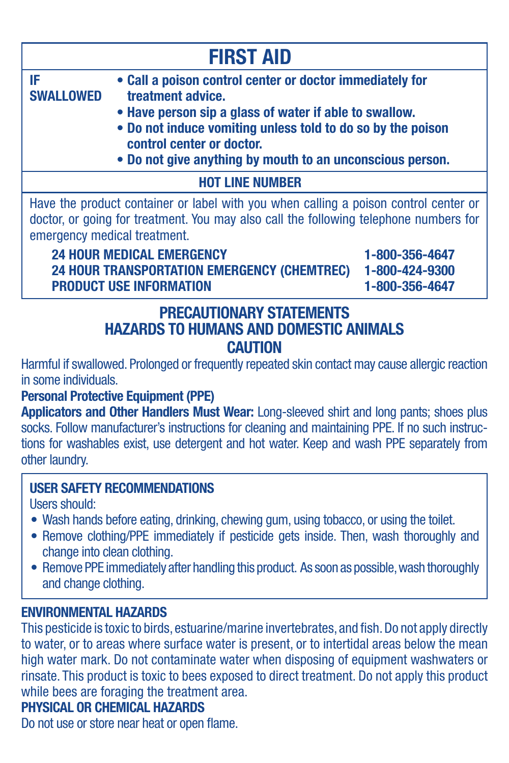|                                                                                                | <b>FIRST AID</b>                                                                                                                                                                                                                                                                                                                                                                                                                                                                                                                               |                                                    |
|------------------------------------------------------------------------------------------------|------------------------------------------------------------------------------------------------------------------------------------------------------------------------------------------------------------------------------------------------------------------------------------------------------------------------------------------------------------------------------------------------------------------------------------------------------------------------------------------------------------------------------------------------|----------------------------------------------------|
| IF<br><b>SWALLOWED</b>                                                                         | • Call a poison control center or doctor immediately for<br>treatment advice.<br>• Have person sip a glass of water if able to swallow.<br>. Do not induce vomiting unless told to do so by the poison<br>control center or doctor.<br>• Do not give anything by mouth to an unconscious person.                                                                                                                                                                                                                                               |                                                    |
|                                                                                                | <b>HOT LINE NUMBER</b>                                                                                                                                                                                                                                                                                                                                                                                                                                                                                                                         |                                                    |
|                                                                                                | Have the product container or label with you when calling a poison control center or<br>doctor, or going for treatment. You may also call the following telephone numbers for<br>emergency medical treatment.<br><b>24 HOUR MEDICAL EMERGENCY</b><br><b>24 HOUR TRANSPORTATION EMERGENCY (CHEMTREC)</b><br>PRODUCT USE INFORMATION                                                                                                                                                                                                             | 1-800-356-4647<br>1-800-424-9300<br>1-800-356-4647 |
| in some individuals.                                                                           | <b>PRECAUTIONARY STATEMENTS</b><br><b>HAZARDS TO HUMANS AND DOMESTIC ANIMALS</b><br><b>CAUTION</b><br>Harmful if swallowed. Prolonged or frequently repeated skin contact may cause allergic reaction<br><b>Personal Protective Equipment (PPE)</b><br>Applicators and Other Handlers Must Wear: Long-sleeved shirt and long pants; shoes plus<br>socks. Follow manufacturer's instructions for cleaning and maintaining PPE. If no such instruc-<br>tions for washables exist, use detergent and hot water. Keep and wash PPE separately from |                                                    |
| other laundry.<br><b>Ilsers should:</b><br>change into clean clothing.<br>and change clothing. | <b>USER SAFETY RECOMMENDATIONS</b><br>. Wash hands before eating, drinking, chewing gum, using tobacco, or using the toilet.<br>• Remove clothing/PPE immediately if pesticide gets inside. Then, wash thoroughly and<br>• Remove PPE immediately after handling this product. As soon as possible, wash thoroughly                                                                                                                                                                                                                            |                                                    |

#### **ENVIRONMENTAL HAZARDS**

This pesticide is toxic to birds, estuarine/marine invertebrates, and fish. Do not apply directly to water, or to areas where surface water is present, or to intertidal areas below the mean high water mark. Do not contaminate water when disposing of equipment washwaters or rinsate. This product is toxic to bees exposed to direct treatment. Do not apply this product while bees are foraging the treatment area.

#### **PHYSICAL OR CHEMICAL HAZARDS**

Do not use or store near heat or open flame.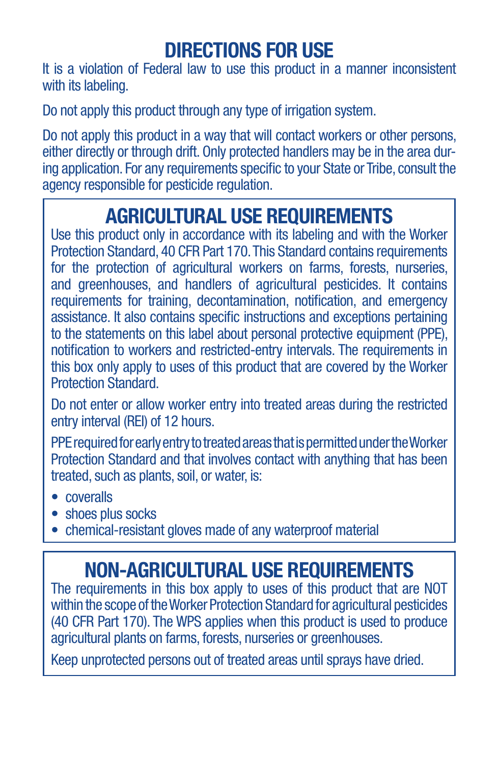# **DIRECTIONS FOR USE**

It is a violation of Federal law to use this product in a manner inconsistent with its labeling.

Do not apply this product through any type of irrigation system.

Do not apply this product in a way that will contact workers or other persons, either directly or through drift. Only protected handlers may be in the area during application. For any requirements specific to your State or Tribe, consult the agency responsible for pesticide regulation.

## **AGRICULTURAL USE REQUIREMENTS**

Use this product only in accordance with its labeling and with the Worker Protection Standard, 40 CFR Part 170. This Standard contains requirements for the protection of agricultural workers on farms, forests, nurseries, and greenhouses, and handlers of agricultural pesticides. It contains requirements for training, decontamination, notification, and emergency assistance. It also contains specific instructions and exceptions pertaining to the statements on this label about personal protective equipment (PPE), notification to workers and restricted-entry intervals. The requirements in this box only apply to uses of this product that are covered by the Worker Protection Standard.

Do not enter or allow worker entry into treated areas during the restricted entry interval (REI) of 12 hours.

PPE required for early entry to treated areas that is permitted under the Worker Protection Standard and that involves contact with anything that has been treated, such as plants, soil, or water, is:

- coveralls
- shoes plus socks
- chemical-resistant gloves made of any waterproof material

## **NON-AGRICULTURAL USE REQUIREMENTS**

The requirements in this box apply to uses of this product that are NOT within the scope of the Worker Protection Standard for agricultural pesticides (40 CFR Part 170). The WPS applies when this product is used to produce agricultural plants on farms, forests, nurseries or greenhouses.

Keep unprotected persons out of treated areas until sprays have dried.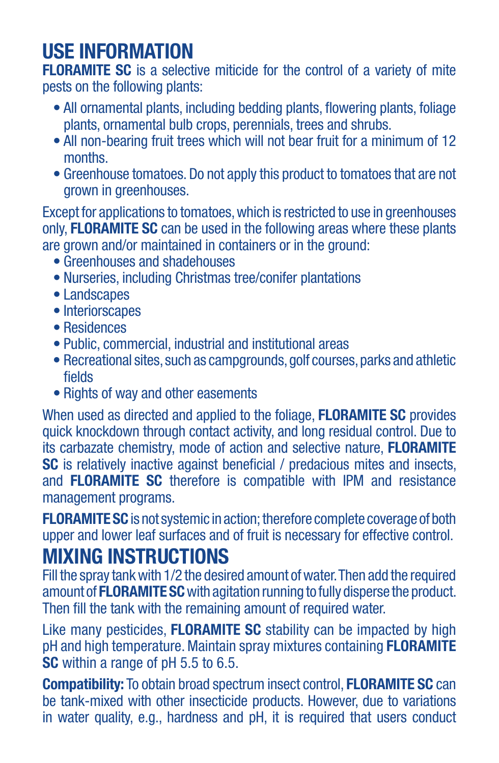# **USE INFORMATION**

**FLORAMITE SC** is a selective miticide for the control of a variety of mite pests on the following plants:

- All ornamental plants, including bedding plants, flowering plants, foliage plants, ornamental bulb crops, perennials, trees and shrubs.
- All non-bearing fruit trees which will not bear fruit for a minimum of 12 months.
- Greenhouse tomatoes. Do not apply this product to tomatoes that are not grown in greenhouses.

Except for applications to tomatoes, which is restricted to use in greenhouses only, **FLORAMITE SC** can be used in the following areas where these plants are grown and/or maintained in containers or in the ground:

- Greenhouses and shadehouses
- Nurseries, including Christmas tree/conifer plantations
- Landscapes
- Interiorscapes
- Residences
- Public, commercial, industrial and institutional areas
- Recreational sites, such as campgrounds, golf courses, parks and athletic fields
- Rights of way and other easements

When used as directed and applied to the foliage, **FLORAMITE SC** provides quick knockdown through contact activity, and long residual control. Due to its carbazate chemistry, mode of action and selective nature, **FLORAMITE SC** is relatively inactive against beneficial / predacious mites and insects, and **FLORAMITE SC** therefore is compatible with IPM and resistance management programs.

**FLORAMITE SC** is not systemic in action; therefore complete coverage of both upper and lower leaf surfaces and of fruit is necessary for effective control.

### **MIXING INSTRUCTIONS**

Fill the spray tank with 1/2 the desired amount of water. Then add the required amount of **FLORAMITE SC** with agitation running to fully disperse the product. Then fill the tank with the remaining amount of required water.

Like many pesticides, **FLORAMITE SC** stability can be impacted by high pH and high temperature. Maintain spray mixtures containing **FLORAMITE SC** within a range of pH 5.5 to 6.5.

**Compatibility:** To obtain broad spectrum insect control, **FLORAMITE SC** can be tank-mixed with other insecticide products. However, due to variations in water quality, e.g., hardness and pH, it is required that users conduct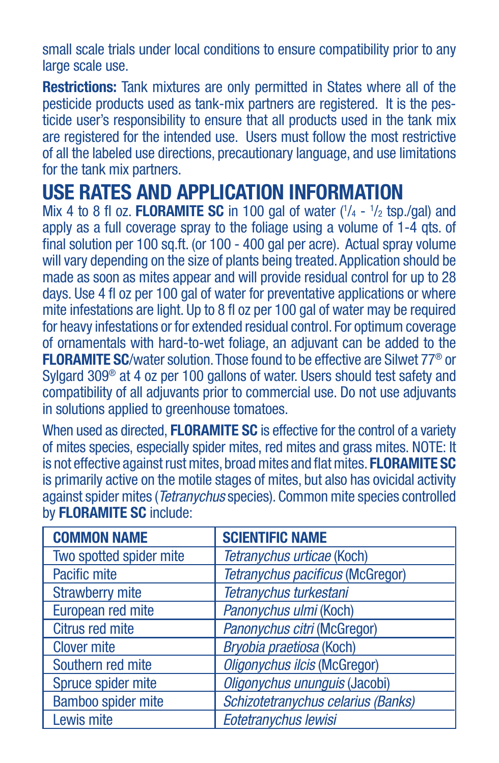small scale trials under local conditions to ensure compatibility prior to any large scale use.

**Restrictions:** Tank mixtures are only permitted in States where all of the pesticide products used as tank-mix partners are registered. It is the pesticide user's responsibility to ensure that all products used in the tank mix are registered for the intended use. Users must follow the most restrictive of all the labeled use directions, precautionary language, and use limitations for the tank mix partners.

# **USE RATES AND APPLICATION INFORMATION**

Mix 4 to 8 fl oz. **FLORAMITE SC** in 100 gal of water  $(^{1}/_{4} - ^{1}/_{2}$  tsp./gal) and apply as a full coverage spray to the foliage using a volume of 1-4 qts. of final solution per 100 sq.ft. (or 100 - 400 gal per acre). Actual spray volume will vary depending on the size of plants being treated. Application should be made as soon as mites appear and will provide residual control for up to 28 days. Use 4 fl oz per 100 gal of water for preventative applications or where mite infestations are light. Up to 8 fl oz per 100 gal of water may be required for heavy infestations or for extended residual control. For optimum coverage of ornamentals with hard-to-wet foliage, an adjuvant can be added to the **FLORAMITE SC**/water solution. Those found to be effective are Silwet 77® or Sylgard 309<sup>®</sup> at 4 oz per 100 gallons of water. Users should test safety and compatibility of all adjuvants prior to commercial use. Do not use adjuvants in solutions applied to greenhouse tomatoes.

When used as directed, **FLORAMITE SC** is effective for the control of a variety of mites species, especially spider mites, red mites and grass mites. NOTE: It is not effective against rust mites, broad mites and flat mites. **FLORAMITE SC** is primarily active on the motile stages of mites, but also has ovicidal activity against spider mites (*Tetranychus* species). Common mite species controlled by **FLORAMITE SC** include:

| <b>COMMON NAME</b>      | <b>SCIENTIFIC NAME</b>                  |
|-------------------------|-----------------------------------------|
| Two spotted spider mite | Tetranychus urticae (Koch)              |
| Pacific mite            | <b>Tetranychus pacificus (McGregor)</b> |
| <b>Strawberry mite</b>  | Tetranychus turkestani                  |
| European red mite       | Panonychus ulmi (Koch)                  |
| Citrus red mite         | Panonychus citri (McGregor)             |
| <b>Clover mite</b>      | Bryobia praetiosa (Koch)                |
| Southern red mite       | <b>Oligonychus ilcis (McGregor)</b>     |
| Spruce spider mite      | Oligonychus ununquis (Jacobi)           |
| Bamboo spider mite      | Schizotetranychus celarius (Banks)      |
| Lewis mite              | Eotetranychus lewisi                    |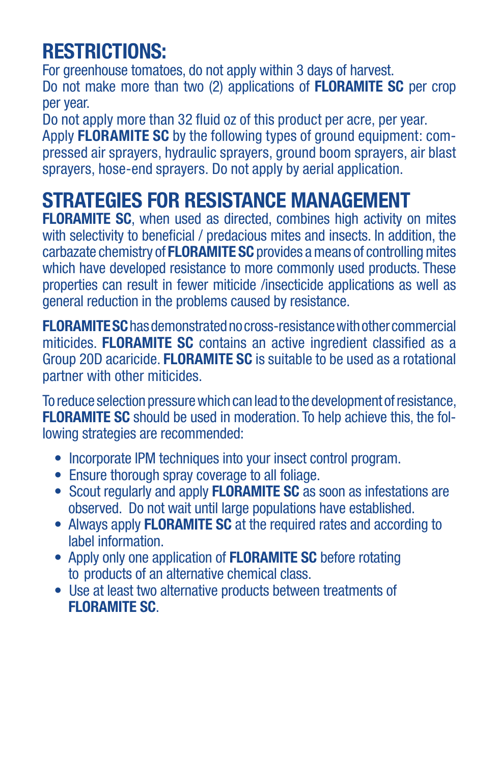# **RESTRICTIONS:**

For greenhouse tomatoes, do not apply within 3 days of harvest. Do not make more than two (2) applications of **FLORAMITE SC** per crop per year.

Do not apply more than 32 fluid oz of this product per acre, per year. Apply **FLORAMITE SC** by the following types of ground equipment: compressed air sprayers, hydraulic sprayers, ground boom sprayers, air blast sprayers, hose-end sprayers. Do not apply by aerial application.

## **STRATEGIES FOR RESISTANCE MANAGEMENT**

**FLORAMITE SC**, when used as directed, combines high activity on mites with selectivity to beneficial / predacious mites and insects. In addition, the carbazate chemistry of **FLORAMITE SC** provides a means of controlling mites which have developed resistance to more commonly used products. These properties can result in fewer miticide /insecticide applications as well as general reduction in the problems caused by resistance.

**FLORAMITE SC** has demonstrated no cross-resistance with other commercial miticides. **FLORAMITE SC** contains an active ingredient classified as a Group 20D acaricide. **FLORAMITE SC** is suitable to be used as a rotational partner with other miticides.

To reduce selection pressure which can lead to the development of resistance, **FLORAMITE SC** should be used in moderation. To help achieve this, the following strategies are recommended:

- Incorporate IPM techniques into your insect control program.
- Ensure thorough spray coverage to all foliage.
- Scout regularly and apply **FLORAMITE SC** as soon as infestations are observed. Do not wait until large populations have established.
- Always apply **FLORAMITE SC** at the required rates and according to label information.
- Apply only one application of **FLORAMITE SC** before rotating to products of an alternative chemical class.
- Use at least two alternative products between treatments of **FLORAMITE SC**.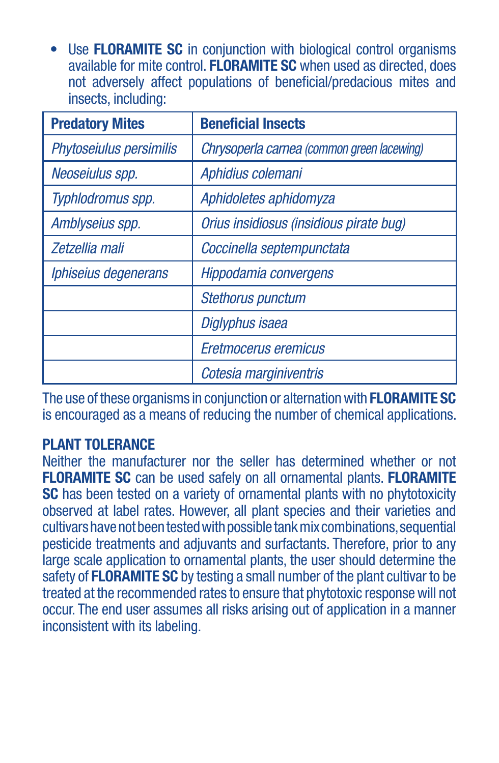• Use **FLORAMITE SC** in conjunction with biological control organisms available for mite control. **FLORAMITE SC** when used as directed, does not adversely affect populations of beneficial/predacious mites and insects, including:

| <b>Predatory Mites</b>  | <b>Beneficial Insects</b>                  |
|-------------------------|--------------------------------------------|
| Phytoseiulus persimilis | Chrysoperla carnea (common green lacewing) |
| Neoseiulus spp.         | Aphidius colemani                          |
| Typhlodromus spp.       | Aphidoletes aphidomyza                     |
| Amblyseius spp.         | Orius insidiosus (insidious pirate bug)    |
| Zetzellia mali          | Coccinella septempunctata                  |
| Iphiseius degenerans    | Hippodamia convergens                      |
|                         | <b>Stethorus punctum</b>                   |
|                         | Diglyphus isaea                            |
|                         | Eretmocerus eremicus                       |
|                         | Cotesia marginiventris                     |

The use of these organisms in conjunction or alternation with **FLORAMITE SC** is encouraged as a means of reducing the number of chemical applications.

#### **PLANT TOLERANCE**

Neither the manufacturer nor the seller has determined whether or not **FLORAMITE SC** can be used safely on all ornamental plants. **FLORAMITE SC** has been tested on a variety of ornamental plants with no phytotoxicity observed at label rates. However, all plant species and their varieties and cultivars have not been tested with possible tank mix combinations, sequential pesticide treatments and adjuvants and surfactants. Therefore, prior to any large scale application to ornamental plants, the user should determine the safety of **FLORAMITE SC** by testing a small number of the plant cultivar to be treated at the recommended rates to ensure that phytotoxic response will not occur. The end user assumes all risks arising out of application in a manner inconsistent with its labeling.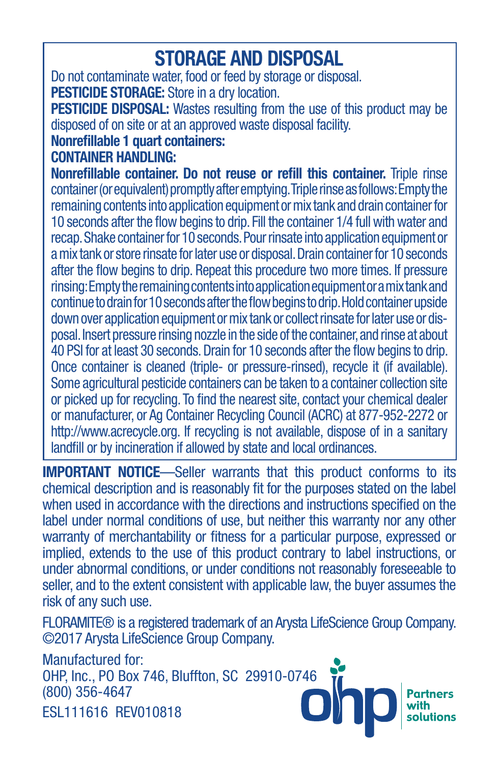## **STORAGE AND DISPOSAL**

Do not contaminate water, food or feed by storage or disposal. **PESTICIDE STORAGE:** Store in a dry location.

**PESTICIDE DISPOSAL:** Wastes resulting from the use of this product may be disposed of on site or at an approved waste disposal facility.

#### **Nonrefillable 1 quart containers:**

**CONTAINER HANDLING:** 

**Nonrefillable container. Do not reuse or refill this container.** Triple rinse container (or equivalent) promptly after emptying. Triple rinse as follows: Empty the remaining contents into application equipment or mix tank and drain container for 10 seconds after the flow begins to drip. Fill the container 1/4 full with water and recap. Shake container for 10 seconds. Pour rinsate into application equipment or a mix tank or store rinsate for later use or disposal. Drain container for 10 seconds after the flow begins to drip. Repeat this procedure two more times. If pressure rinsing: Empty the remaining contents into application equipment or a mix tank and continue to drain for 10 seconds after the flow begins to drip. Hold container upside down over application equipment or mix tank or collect rinsate for later use or disposal. Insert pressure rinsing nozzle in the side of the container, and rinse at about 40 PSI for at least 30 seconds. Drain for 10 seconds after the flow begins to drip. Once container is cleaned (triple- or pressure-rinsed), recycle it (if available). Some agricultural pesticide containers can be taken to a container collection site or picked up for recycling. To find the nearest site, contact your chemical dealer or manufacturer, or Ag Container Recycling Council (ACRC) at 877-952-2272 or http://www.acrecycle.org. If recycling is not available, dispose of in a sanitary landfill or by incineration if allowed by state and local ordinances.

**IMPORTANT NOTICE**—Seller warrants that this product conforms to its chemical description and is reasonably fit for the purposes stated on the label when used in accordance with the directions and instructions specified on the label under normal conditions of use, but neither this warranty nor any other warranty of merchantability or fitness for a particular purpose, expressed or implied, extends to the use of this product contrary to label instructions, or under abnormal conditions, or under conditions not reasonably foreseeable to seller, and to the extent consistent with applicable law, the buyer assumes the risk of any such use.

FLORAMITE® is a registered trademark of an Arysta LifeScience Group Company. ©2017 Arysta LifeScience Group Company.

Manufactured for: OHP, Inc., PO Box 746, Bluffton, SC 29910-0746 (800) 356-4647 ESL111616 REV010818